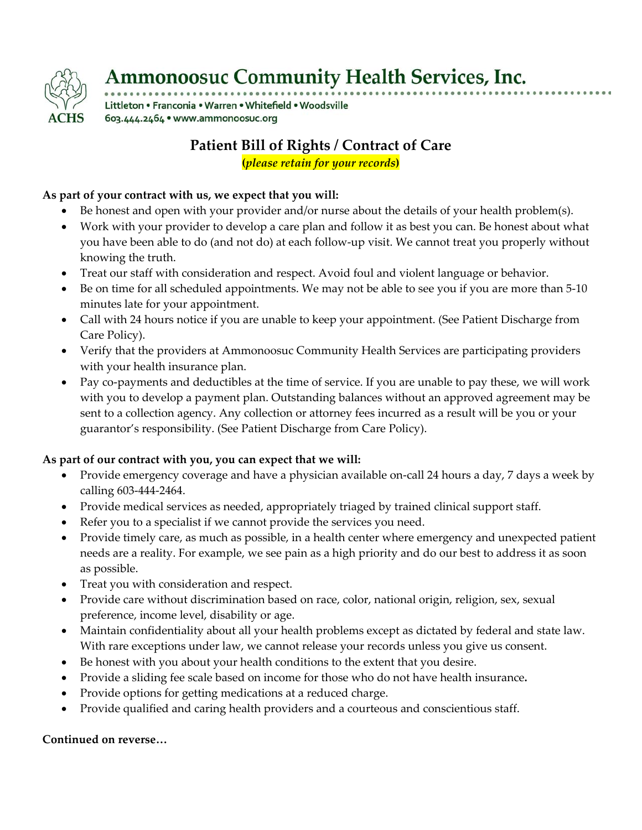

# **Ammonoosuc Community Health Services, Inc.**

Littleton . Franconia . Warren . Whitefield . Woodsville 603.444.2464 · www.ammonoosuc.org

## **Patient Bill of Rights / Contract of Care**

**(***please retain for your records***)**

### **As part of your contract with us, we expect that you will:**

- Be honest and open with your provider and/or nurse about the details of your health problem(s).
- Work with your provider to develop a care plan and follow it as best you can. Be honest about what you have been able to do (and not do) at each follow‐up visit. We cannot treat you properly without knowing the truth.
- Treat our staff with consideration and respect. Avoid foul and violent language or behavior.
- Be on time for all scheduled appointments. We may not be able to see you if you are more than 5-10 minutes late for your appointment.
- Call with 24 hours notice if you are unable to keep your appointment. (See Patient Discharge from Care Policy).
- Verify that the providers at Ammonoosuc Community Health Services are participating providers with your health insurance plan.
- Pay co-payments and deductibles at the time of service. If you are unable to pay these, we will work with you to develop a payment plan. Outstanding balances without an approved agreement may be sent to a collection agency. Any collection or attorney fees incurred as a result will be you or your guarantor's responsibility. (See Patient Discharge from Care Policy).

#### **As part of our contract with you, you can expect that we will:**

- Provide emergency coverage and have a physician available on-call 24 hours a day, 7 days a week by calling 603‐444‐2464.
- Provide medical services as needed, appropriately triaged by trained clinical support staff.
- Refer you to a specialist if we cannot provide the services you need.
- Provide timely care, as much as possible, in a health center where emergency and unexpected patient needs are a reality. For example, we see pain as a high priority and do our best to address it as soon as possible.
- Treat you with consideration and respect.
- Provide care without discrimination based on race, color, national origin, religion, sex, sexual preference, income level, disability or age.
- Maintain confidentiality about all your health problems except as dictated by federal and state law. With rare exceptions under law, we cannot release your records unless you give us consent.
- Be honest with you about your health conditions to the extent that you desire.
- Provide a sliding fee scale based on income for those who do not have health insurance**.**
- Provide options for getting medications at a reduced charge.
- Provide qualified and caring health providers and a courteous and conscientious staff.

#### **Continued on reverse…**